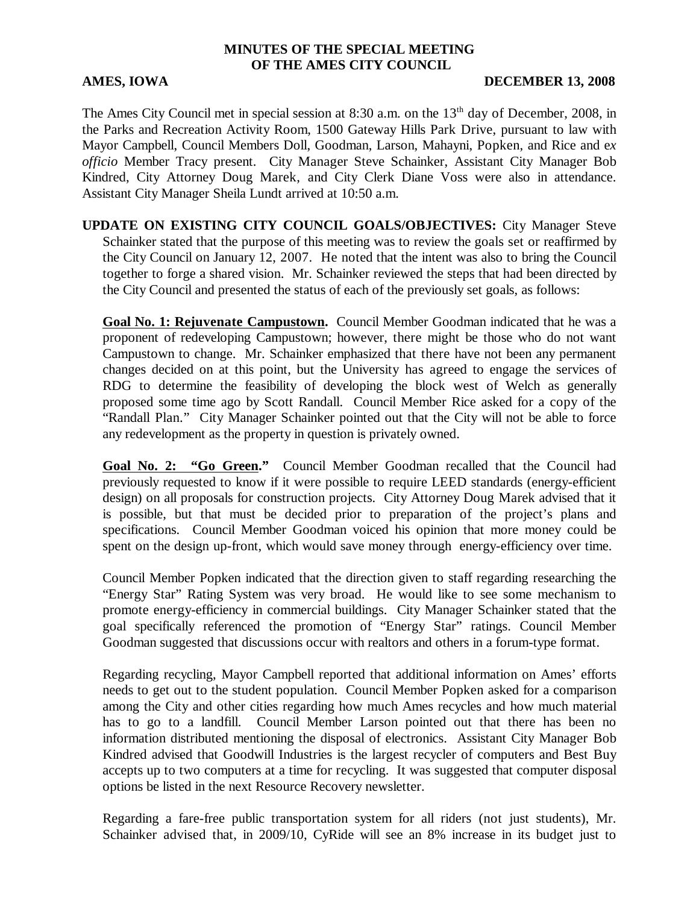## **MINUTES OF THE SPECIAL MEETING OF THE AMES CITY COUNCIL**

## AMES, IOWA DECEMBER 13, 2008

The Ames City Council met in special session at 8:30 a.m. on the 13<sup>th</sup> day of December, 2008, in the Parks and Recreation Activity Room, 1500 Gateway Hills Park Drive, pursuant to law with Mayor Campbell, Council Members Doll, Goodman, Larson, Mahayni, Popken, and Rice and e*x officio* Member Tracy present. City Manager Steve Schainker, Assistant City Manager Bob Kindred, City Attorney Doug Marek, and City Clerk Diane Voss were also in attendance. Assistant City Manager Sheila Lundt arrived at 10:50 a.m.

**UPDATE ON EXISTING CITY COUNCIL GOALS/OBJECTIVES:** City Manager Steve Schainker stated that the purpose of this meeting was to review the goals set or reaffirmed by the City Council on January 12, 2007. He noted that the intent was also to bring the Council together to forge a shared vision. Mr. Schainker reviewed the steps that had been directed by the City Council and presented the status of each of the previously set goals, as follows:

**Goal No. 1: Rejuvenate Campustown.** Council Member Goodman indicated that he was a proponent of redeveloping Campustown; however, there might be those who do not want Campustown to change. Mr. Schainker emphasized that there have not been any permanent changes decided on at this point, but the University has agreed to engage the services of RDG to determine the feasibility of developing the block west of Welch as generally proposed some time ago by Scott Randall. Council Member Rice asked for a copy of the "Randall Plan." City Manager Schainker pointed out that the City will not be able to force any redevelopment as the property in question is privately owned.

**Goal No. 2: "Go Green."** Council Member Goodman recalled that the Council had previously requested to know if it were possible to require LEED standards (energy-efficient design) on all proposals for construction projects. City Attorney Doug Marek advised that it is possible, but that must be decided prior to preparation of the project's plans and specifications. Council Member Goodman voiced his opinion that more money could be spent on the design up-front, which would save money through energy-efficiency over time.

Council Member Popken indicated that the direction given to staff regarding researching the "Energy Star" Rating System was very broad. He would like to see some mechanism to promote energy-efficiency in commercial buildings. City Manager Schainker stated that the goal specifically referenced the promotion of "Energy Star" ratings. Council Member Goodman suggested that discussions occur with realtors and others in a forum-type format.

Regarding recycling, Mayor Campbell reported that additional information on Ames' efforts needs to get out to the student population. Council Member Popken asked for a comparison among the City and other cities regarding how much Ames recycles and how much material has to go to a landfill. Council Member Larson pointed out that there has been no information distributed mentioning the disposal of electronics. Assistant City Manager Bob Kindred advised that Goodwill Industries is the largest recycler of computers and Best Buy accepts up to two computers at a time for recycling. It was suggested that computer disposal options be listed in the next Resource Recovery newsletter.

Regarding a fare-free public transportation system for all riders (not just students), Mr. Schainker advised that, in 2009/10, CyRide will see an 8% increase in its budget just to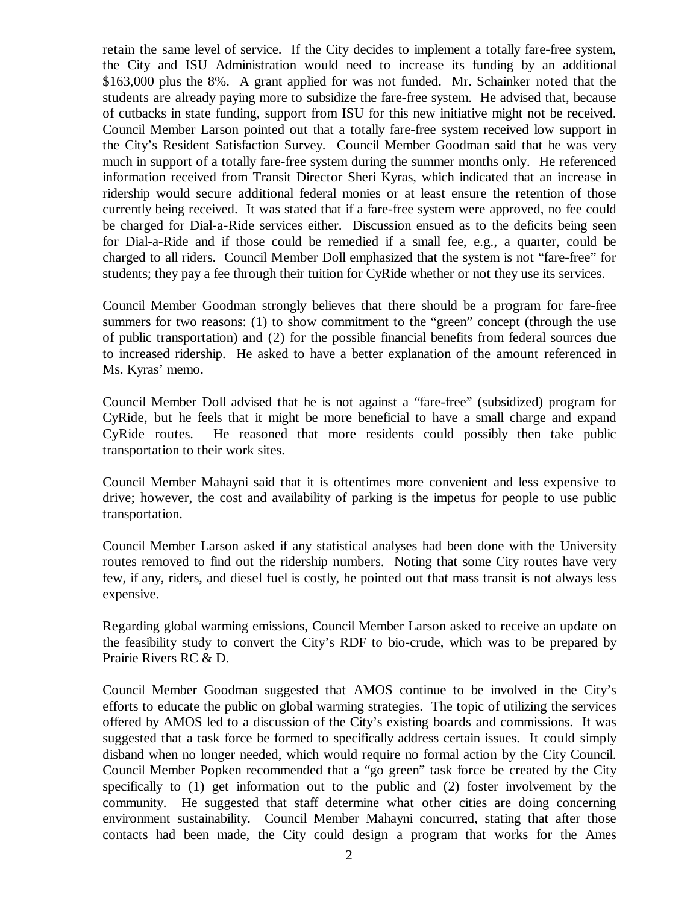retain the same level of service. If the City decides to implement a totally fare-free system, the City and ISU Administration would need to increase its funding by an additional \$163,000 plus the 8%. A grant applied for was not funded. Mr. Schainker noted that the students are already paying more to subsidize the fare-free system. He advised that, because of cutbacks in state funding, support from ISU for this new initiative might not be received. Council Member Larson pointed out that a totally fare-free system received low support in the City's Resident Satisfaction Survey. Council Member Goodman said that he was very much in support of a totally fare-free system during the summer months only. He referenced information received from Transit Director Sheri Kyras, which indicated that an increase in ridership would secure additional federal monies or at least ensure the retention of those currently being received. It was stated that if a fare-free system were approved, no fee could be charged for Dial-a-Ride services either. Discussion ensued as to the deficits being seen for Dial-a-Ride and if those could be remedied if a small fee, e.g., a quarter, could be charged to all riders. Council Member Doll emphasized that the system is not "fare-free" for students; they pay a fee through their tuition for CyRide whether or not they use its services.

Council Member Goodman strongly believes that there should be a program for fare-free summers for two reasons: (1) to show commitment to the "green" concept (through the use of public transportation) and (2) for the possible financial benefits from federal sources due to increased ridership. He asked to have a better explanation of the amount referenced in Ms. Kyras' memo.

Council Member Doll advised that he is not against a "fare-free" (subsidized) program for CyRide, but he feels that it might be more beneficial to have a small charge and expand CyRide routes. He reasoned that more residents could possibly then take public transportation to their work sites.

Council Member Mahayni said that it is oftentimes more convenient and less expensive to drive; however, the cost and availability of parking is the impetus for people to use public transportation.

Council Member Larson asked if any statistical analyses had been done with the University routes removed to find out the ridership numbers. Noting that some City routes have very few, if any, riders, and diesel fuel is costly, he pointed out that mass transit is not always less expensive.

Regarding global warming emissions, Council Member Larson asked to receive an update on the feasibility study to convert the City's RDF to bio-crude, which was to be prepared by Prairie Rivers RC & D.

Council Member Goodman suggested that AMOS continue to be involved in the City's efforts to educate the public on global warming strategies. The topic of utilizing the services offered by AMOS led to a discussion of the City's existing boards and commissions. It was suggested that a task force be formed to specifically address certain issues. It could simply disband when no longer needed, which would require no formal action by the City Council. Council Member Popken recommended that a "go green" task force be created by the City specifically to (1) get information out to the public and (2) foster involvement by the community. He suggested that staff determine what other cities are doing concerning environment sustainability. Council Member Mahayni concurred, stating that after those contacts had been made, the City could design a program that works for the Ames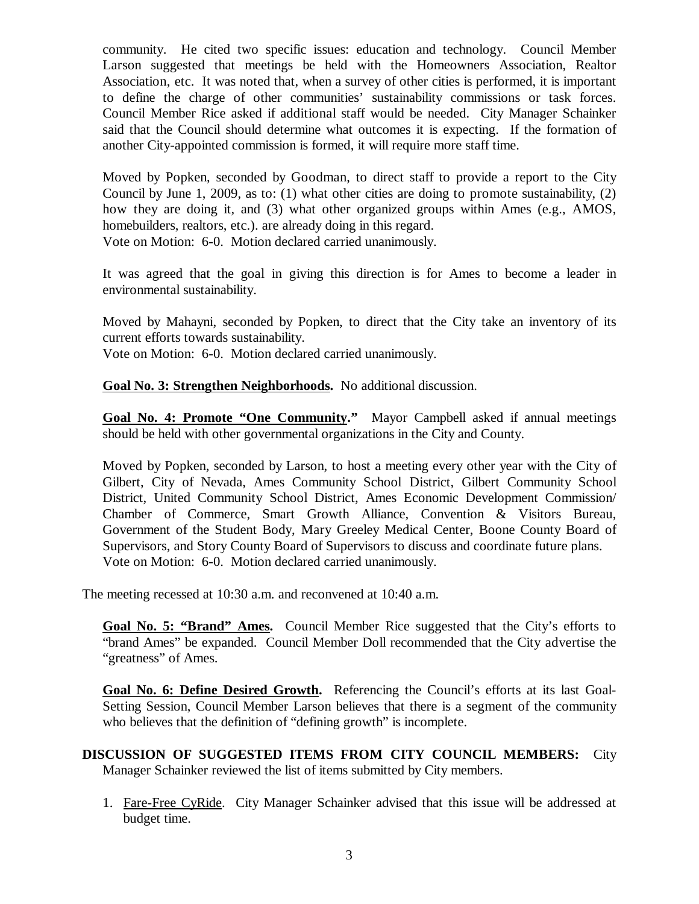community. He cited two specific issues: education and technology. Council Member Larson suggested that meetings be held with the Homeowners Association, Realtor Association, etc. It was noted that, when a survey of other cities is performed, it is important to define the charge of other communities' sustainability commissions or task forces. Council Member Rice asked if additional staff would be needed. City Manager Schainker said that the Council should determine what outcomes it is expecting. If the formation of another City-appointed commission is formed, it will require more staff time.

Moved by Popken, seconded by Goodman, to direct staff to provide a report to the City Council by June 1, 2009, as to: (1) what other cities are doing to promote sustainability, (2) how they are doing it, and (3) what other organized groups within Ames (e.g., AMOS, homebuilders, realtors, etc.). are already doing in this regard. Vote on Motion: 6-0. Motion declared carried unanimously.

It was agreed that the goal in giving this direction is for Ames to become a leader in environmental sustainability.

Moved by Mahayni, seconded by Popken, to direct that the City take an inventory of its current efforts towards sustainability.

Vote on Motion: 6-0. Motion declared carried unanimously.

**Goal No. 3: Strengthen Neighborhoods.** No additional discussion.

**Goal No. 4: Promote "One Community."** Mayor Campbell asked if annual meetings should be held with other governmental organizations in the City and County.

Moved by Popken, seconded by Larson, to host a meeting every other year with the City of Gilbert, City of Nevada, Ames Community School District, Gilbert Community School District, United Community School District, Ames Economic Development Commission/ Chamber of Commerce, Smart Growth Alliance, Convention & Visitors Bureau, Government of the Student Body, Mary Greeley Medical Center, Boone County Board of Supervisors, and Story County Board of Supervisors to discuss and coordinate future plans. Vote on Motion: 6-0. Motion declared carried unanimously.

The meeting recessed at 10:30 a.m. and reconvened at 10:40 a.m.

**Goal No. 5: "Brand" Ames.** Council Member Rice suggested that the City's efforts to "brand Ames" be expanded. Council Member Doll recommended that the City advertise the "greatness" of Ames.

**Goal No. 6: Define Desired Growth.** Referencing the Council's efforts at its last Goal-Setting Session, Council Member Larson believes that there is a segment of the community who believes that the definition of "defining growth" is incomplete.

**DISCUSSION OF SUGGESTED ITEMS FROM CITY COUNCIL MEMBERS:** City Manager Schainker reviewed the list of items submitted by City members.

1. Fare-Free CyRide. City Manager Schainker advised that this issue will be addressed at budget time.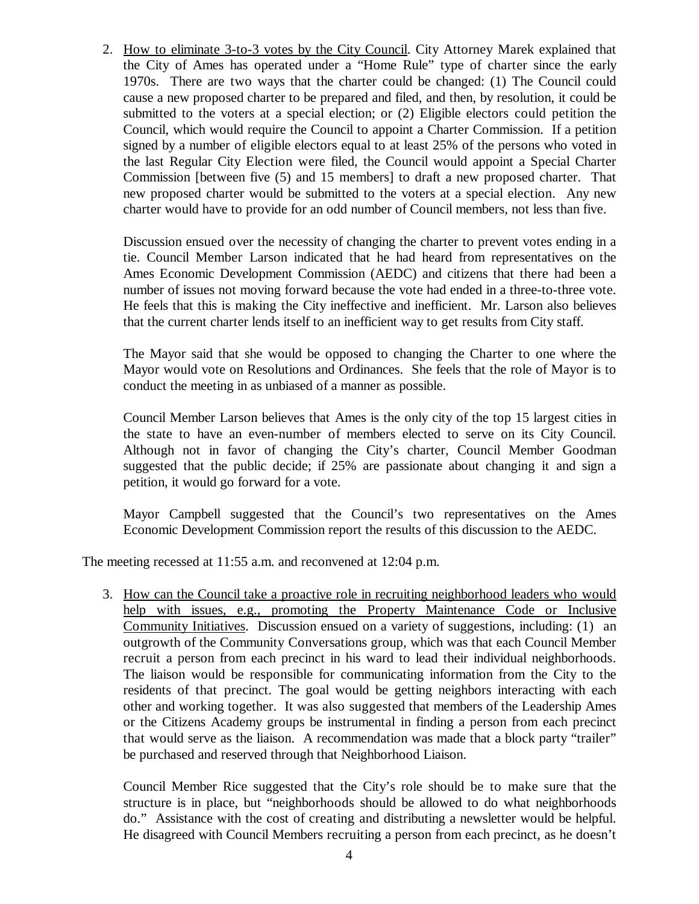2. How to eliminate 3-to-3 votes by the City Council. City Attorney Marek explained that the City of Ames has operated under a "Home Rule" type of charter since the early 1970s. There are two ways that the charter could be changed: (1) The Council could cause a new proposed charter to be prepared and filed, and then, by resolution, it could be submitted to the voters at a special election; or (2) Eligible electors could petition the Council, which would require the Council to appoint a Charter Commission. If a petition signed by a number of eligible electors equal to at least 25% of the persons who voted in the last Regular City Election were filed, the Council would appoint a Special Charter Commission [between five (5) and 15 members] to draft a new proposed charter. That new proposed charter would be submitted to the voters at a special election. Any new charter would have to provide for an odd number of Council members, not less than five.

Discussion ensued over the necessity of changing the charter to prevent votes ending in a tie. Council Member Larson indicated that he had heard from representatives on the Ames Economic Development Commission (AEDC) and citizens that there had been a number of issues not moving forward because the vote had ended in a three-to-three vote. He feels that this is making the City ineffective and inefficient. Mr. Larson also believes that the current charter lends itself to an inefficient way to get results from City staff.

The Mayor said that she would be opposed to changing the Charter to one where the Mayor would vote on Resolutions and Ordinances. She feels that the role of Mayor is to conduct the meeting in as unbiased of a manner as possible.

Council Member Larson believes that Ames is the only city of the top 15 largest cities in the state to have an even-number of members elected to serve on its City Council. Although not in favor of changing the City's charter, Council Member Goodman suggested that the public decide; if 25% are passionate about changing it and sign a petition, it would go forward for a vote.

Mayor Campbell suggested that the Council's two representatives on the Ames Economic Development Commission report the results of this discussion to the AEDC.

The meeting recessed at 11:55 a.m. and reconvened at 12:04 p.m.

3. How can the Council take a proactive role in recruiting neighborhood leaders who would help with issues, e.g., promoting the Property Maintenance Code or Inclusive Community Initiatives. Discussion ensued on a variety of suggestions, including: (1) an outgrowth of the Community Conversations group, which was that each Council Member recruit a person from each precinct in his ward to lead their individual neighborhoods. The liaison would be responsible for communicating information from the City to the residents of that precinct. The goal would be getting neighbors interacting with each other and working together. It was also suggested that members of the Leadership Ames or the Citizens Academy groups be instrumental in finding a person from each precinct that would serve as the liaison. A recommendation was made that a block party "trailer" be purchased and reserved through that Neighborhood Liaison.

Council Member Rice suggested that the City's role should be to make sure that the structure is in place, but "neighborhoods should be allowed to do what neighborhoods do." Assistance with the cost of creating and distributing a newsletter would be helpful. He disagreed with Council Members recruiting a person from each precinct, as he doesn't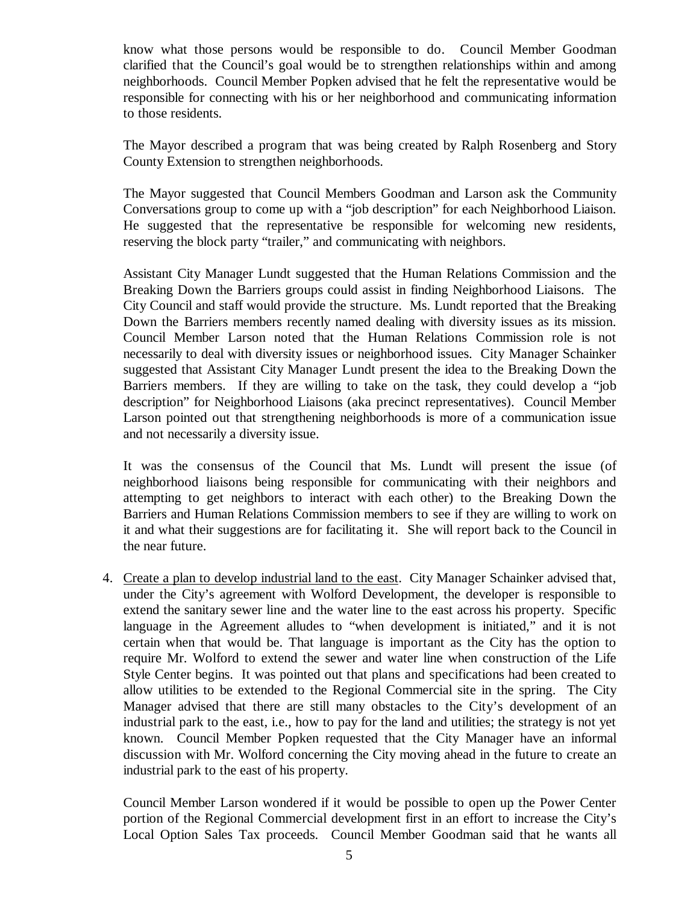know what those persons would be responsible to do. Council Member Goodman clarified that the Council's goal would be to strengthen relationships within and among neighborhoods. Council Member Popken advised that he felt the representative would be responsible for connecting with his or her neighborhood and communicating information to those residents.

The Mayor described a program that was being created by Ralph Rosenberg and Story County Extension to strengthen neighborhoods.

The Mayor suggested that Council Members Goodman and Larson ask the Community Conversations group to come up with a "job description" for each Neighborhood Liaison. He suggested that the representative be responsible for welcoming new residents, reserving the block party "trailer," and communicating with neighbors.

Assistant City Manager Lundt suggested that the Human Relations Commission and the Breaking Down the Barriers groups could assist in finding Neighborhood Liaisons. The City Council and staff would provide the structure. Ms. Lundt reported that the Breaking Down the Barriers members recently named dealing with diversity issues as its mission. Council Member Larson noted that the Human Relations Commission role is not necessarily to deal with diversity issues or neighborhood issues. City Manager Schainker suggested that Assistant City Manager Lundt present the idea to the Breaking Down the Barriers members. If they are willing to take on the task, they could develop a "job description" for Neighborhood Liaisons (aka precinct representatives). Council Member Larson pointed out that strengthening neighborhoods is more of a communication issue and not necessarily a diversity issue.

It was the consensus of the Council that Ms. Lundt will present the issue (of neighborhood liaisons being responsible for communicating with their neighbors and attempting to get neighbors to interact with each other) to the Breaking Down the Barriers and Human Relations Commission members to see if they are willing to work on it and what their suggestions are for facilitating it. She will report back to the Council in the near future.

4. Create a plan to develop industrial land to the east. City Manager Schainker advised that, under the City's agreement with Wolford Development, the developer is responsible to extend the sanitary sewer line and the water line to the east across his property. Specific language in the Agreement alludes to "when development is initiated," and it is not certain when that would be. That language is important as the City has the option to require Mr. Wolford to extend the sewer and water line when construction of the Life Style Center begins. It was pointed out that plans and specifications had been created to allow utilities to be extended to the Regional Commercial site in the spring. The City Manager advised that there are still many obstacles to the City's development of an industrial park to the east, i.e., how to pay for the land and utilities; the strategy is not yet known. Council Member Popken requested that the City Manager have an informal discussion with Mr. Wolford concerning the City moving ahead in the future to create an industrial park to the east of his property.

Council Member Larson wondered if it would be possible to open up the Power Center portion of the Regional Commercial development first in an effort to increase the City's Local Option Sales Tax proceeds. Council Member Goodman said that he wants all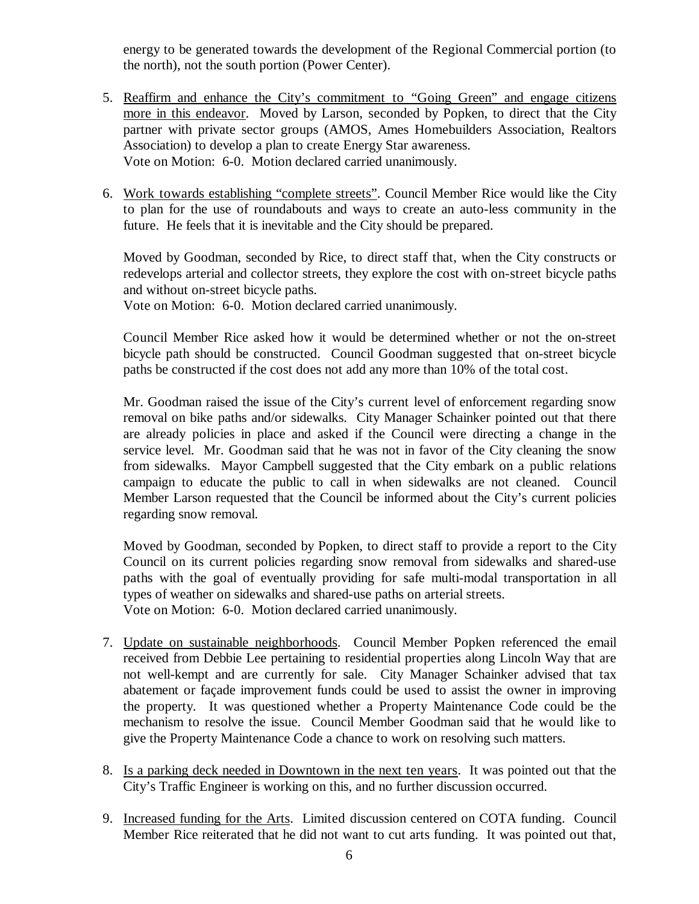energy to be generated towards the development of the Regional Commercial portion (to the north), not the south portion (Power Center).

- 5. Reaffirm and enhance the City's commitment to "Going Green" and engage citizens more in this endeavor. Moved by Larson, seconded by Popken, to direct that the City partner with private sector groups (AMOS, Ames Homebuilders Association, Realtors Association) to develop a plan to create Energy Star awareness. Vote on Motion: 6-0. Motion declared carried unanimously.
- 6. Work towards establishing "complete streets". Council Member Rice would like the City to plan for the use of roundabouts and ways to create an auto-less community in the future. He feels that it is inevitable and the City should be prepared.

Moved by Goodman, seconded by Rice, to direct staff that, when the City constructs or redevelops arterial and collector streets, they explore the cost with on-street bicycle paths and without on-street bicycle paths.

Vote on Motion: 6-0. Motion declared carried unanimously.

Council Member Rice asked how it would be determined whether or not the on-street bicycle path should be constructed. Council Goodman suggested that on-street bicycle paths be constructed if the cost does not add any more than 10% of the total cost.

Mr. Goodman raised the issue of the City's current level of enforcement regarding snow removal on bike paths and/or sidewalks. City Manager Schainker pointed out that there are already policies in place and asked if the Council were directing a change in the service level. Mr. Goodman said that he was not in favor of the City cleaning the snow from sidewalks. Mayor Campbell suggested that the City embark on a public relations campaign to educate the public to call in when sidewalks are not cleaned. Council Member Larson requested that the Council be informed about the City's current policies regarding snow removal.

Moved by Goodman, seconded by Popken, to direct staff to provide a report to the City Council on its current policies regarding snow removal from sidewalks and shared-use paths with the goal of eventually providing for safe multi-modal transportation in all types of weather on sidewalks and shared-use paths on arterial streets. Vote on Motion: 6-0. Motion declared carried unanimously.

- 7. Update on sustainable neighborhoods. Council Member Popken referenced the email received from Debbie Lee pertaining to residential properties along Lincoln Way that are not well-kempt and are currently for sale. City Manager Schainker advised that tax abatement or façade improvement funds could be used to assist the owner in improving the property. It was questioned whether a Property Maintenance Code could be the mechanism to resolve the issue. Council Member Goodman said that he would like to give the Property Maintenance Code a chance to work on resolving such matters.
- 8. Is a parking deck needed in Downtown in the next ten years. It was pointed out that the City's Traffic Engineer is working on this, and no further discussion occurred.
- 9. Increased funding for the Arts. Limited discussion centered on COTA funding. Council Member Rice reiterated that he did not want to cut arts funding. It was pointed out that,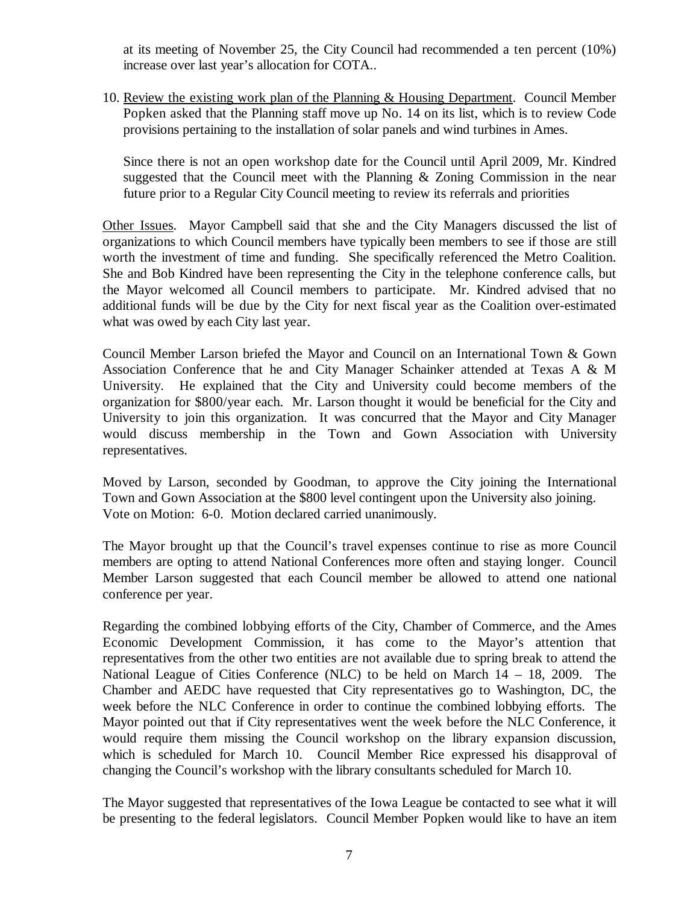at its meeting of November 25, the City Council had recommended a ten percent (10%) increase over last year's allocation for COTA..

10. Review the existing work plan of the Planning & Housing Department. Council Member Popken asked that the Planning staff move up No. 14 on its list, which is to review Code provisions pertaining to the installation of solar panels and wind turbines in Ames.

Since there is not an open workshop date for the Council until April 2009, Mr. Kindred suggested that the Council meet with the Planning & Zoning Commission in the near future prior to a Regular City Council meeting to review its referrals and priorities

Other Issues. Mayor Campbell said that she and the City Managers discussed the list of organizations to which Council members have typically been members to see if those are still worth the investment of time and funding. She specifically referenced the Metro Coalition. She and Bob Kindred have been representing the City in the telephone conference calls, but the Mayor welcomed all Council members to participate. Mr. Kindred advised that no additional funds will be due by the City for next fiscal year as the Coalition over-estimated what was owed by each City last year.

Council Member Larson briefed the Mayor and Council on an International Town & Gown Association Conference that he and City Manager Schainker attended at Texas A & M University. He explained that the City and University could become members of the organization for \$800/year each. Mr. Larson thought it would be beneficial for the City and University to join this organization. It was concurred that the Mayor and City Manager would discuss membership in the Town and Gown Association with University representatives.

Moved by Larson, seconded by Goodman, to approve the City joining the International Town and Gown Association at the \$800 level contingent upon the University also joining. Vote on Motion: 6-0. Motion declared carried unanimously.

The Mayor brought up that the Council's travel expenses continue to rise as more Council members are opting to attend National Conferences more often and staying longer. Council Member Larson suggested that each Council member be allowed to attend one national conference per year.

Regarding the combined lobbying efforts of the City, Chamber of Commerce, and the Ames Economic Development Commission, it has come to the Mayor's attention that representatives from the other two entities are not available due to spring break to attend the National League of Cities Conference (NLC) to be held on March 14 – 18, 2009. The Chamber and AEDC have requested that City representatives go to Washington, DC, the week before the NLC Conference in order to continue the combined lobbying efforts. The Mayor pointed out that if City representatives went the week before the NLC Conference, it would require them missing the Council workshop on the library expansion discussion, which is scheduled for March 10. Council Member Rice expressed his disapproval of changing the Council's workshop with the library consultants scheduled for March 10.

The Mayor suggested that representatives of the Iowa League be contacted to see what it will be presenting to the federal legislators. Council Member Popken would like to have an item